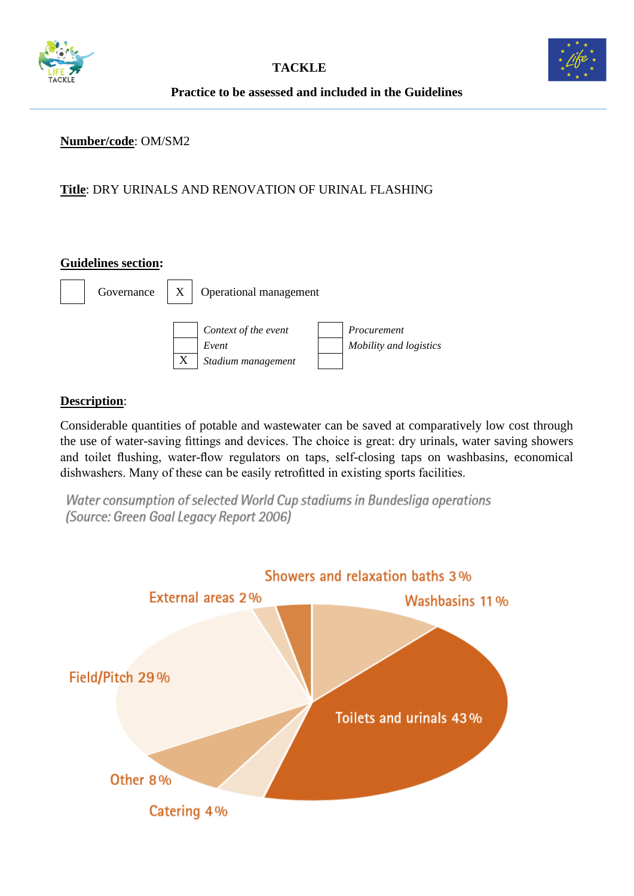



**Practice to be assessed and included in the Guidelines**

#### **Number/code**: OM/SM2

## **Title**: DRY URINALS AND RENOVATION OF URINAL FLASHING

#### **Guidelines section:**



#### **Description**:

Considerable quantities of potable and wastewater can be saved at comparatively low cost through the use of water-saving fittings and devices. The choice is great: dry urinals, water saving showers and toilet flushing, water-flow regulators on taps, self-closing taps on washbasins, economical dishwashers. Many of these can be easily retrofitted in existing sports facilities.

Water consumption of selected World Cup stadiums in Bundesliga operations (Source: Green Goal Legacy Report 2006)

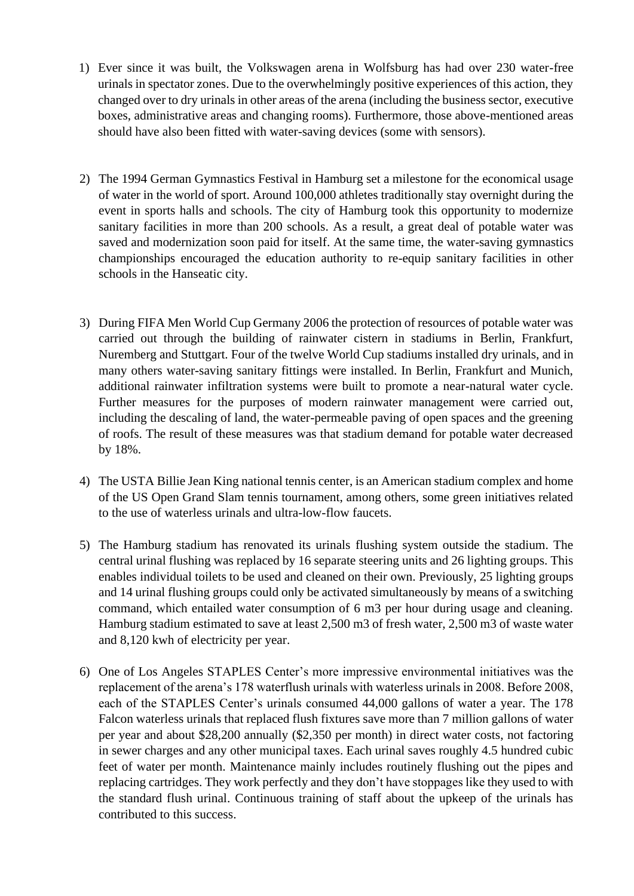- 1) Ever since it was built, the Volkswagen arena in Wolfsburg has had over 230 water-free urinals in spectator zones. Due to the overwhelmingly positive experiences of this action, they changed over to dry urinals in other areas of the arena (including the business sector, executive boxes, administrative areas and changing rooms). Furthermore, those above-mentioned areas should have also been fitted with water-saving devices (some with sensors).
- 2) The 1994 German Gymnastics Festival in Hamburg set a milestone for the economical usage of water in the world of sport. Around 100,000 athletes traditionally stay overnight during the event in sports halls and schools. The city of Hamburg took this opportunity to modernize sanitary facilities in more than 200 schools. As a result, a great deal of potable water was saved and modernization soon paid for itself. At the same time, the water-saving gymnastics championships encouraged the education authority to re-equip sanitary facilities in other schools in the Hanseatic city.
- 3) During FIFA Men World Cup Germany 2006 the protection of resources of potable water was carried out through the building of rainwater cistern in stadiums in Berlin, Frankfurt, Nuremberg and Stuttgart. Four of the twelve World Cup stadiums installed dry urinals, and in many others water-saving sanitary fittings were installed. In Berlin, Frankfurt and Munich, additional rainwater infiltration systems were built to promote a near-natural water cycle. Further measures for the purposes of modern rainwater management were carried out, including the descaling of land, the water-permeable paving of open spaces and the greening of roofs. The result of these measures was that stadium demand for potable water decreased by 18%.
- 4) The USTA Billie Jean King national tennis center, is an American stadium complex and home of the US Open Grand Slam tennis tournament, among others, some green initiatives related to the use of waterless urinals and ultra-low-flow faucets.
- 5) The Hamburg stadium has renovated its urinals flushing system outside the stadium. The central urinal flushing was replaced by 16 separate steering units and 26 lighting groups. This enables individual toilets to be used and cleaned on their own. Previously, 25 lighting groups and 14 urinal flushing groups could only be activated simultaneously by means of a switching command, which entailed water consumption of 6 m3 per hour during usage and cleaning. Hamburg stadium estimated to save at least 2,500 m3 of fresh water, 2,500 m3 of waste water and 8,120 kwh of electricity per year.
- 6) One of Los Angeles STAPLES Center's more impressive environmental initiatives was the replacement of the arena's 178 waterflush urinals with waterless urinals in 2008. Before 2008, each of the STAPLES Center's urinals consumed 44,000 gallons of water a year. The 178 Falcon waterless urinals that replaced flush fixtures save more than 7 million gallons of water per year and about \$28,200 annually (\$2,350 per month) in direct water costs, not factoring in sewer charges and any other municipal taxes. Each urinal saves roughly 4.5 hundred cubic feet of water per month. Maintenance mainly includes routinely flushing out the pipes and replacing cartridges. They work perfectly and they don't have stoppages like they used to with the standard flush urinal. Continuous training of staff about the upkeep of the urinals has contributed to this success.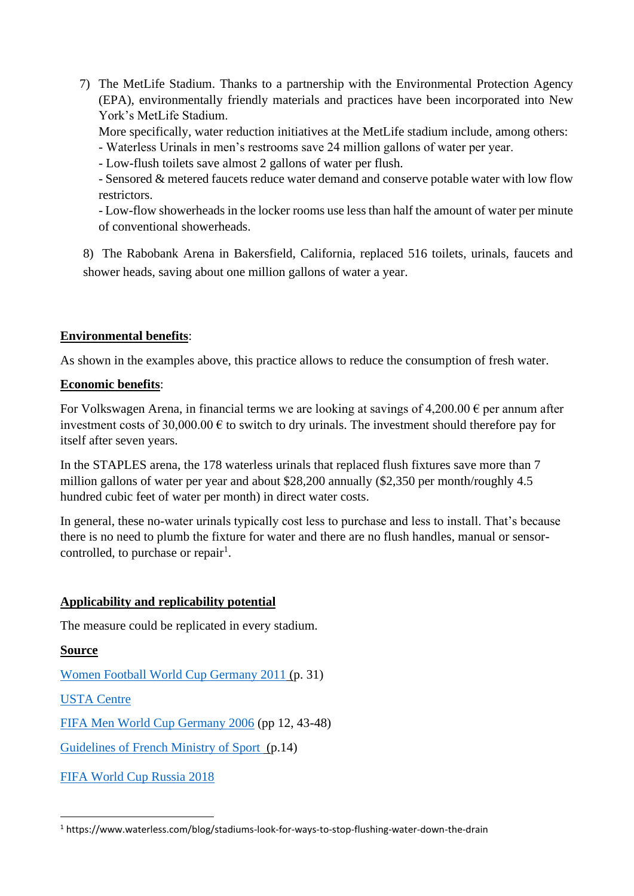7) The MetLife Stadium. Thanks to a partnership with the Environmental Protection Agency (EPA), environmentally friendly materials and practices have been incorporated into New York's MetLife Stadium.

More specifically, water reduction initiatives at the MetLife stadium include, among others: - Waterless Urinals in men's restrooms save 24 million gallons of water per year.

- Low-flush toilets save almost 2 gallons of water per flush.

- Sensored & metered faucets reduce water demand and conserve potable water with low flow restrictors.

- Low-flow showerheads in the locker rooms use less than half the amount of water per minute of conventional showerheads.

8) The Rabobank Arena in Bakersfield, California, replaced 516 toilets, urinals, faucets and shower heads, saving about one million gallons of water a year.

## **Environmental benefits**:

As shown in the examples above, this practice allows to reduce the consumption of fresh water.

## **Economic benefits**:

For Volkswagen Arena, in financial terms we are looking at savings of 4,200.00  $\epsilon$  per annum after investment costs of 30,000.00  $\epsilon$  to switch to dry urinals. The investment should therefore pay for itself after seven years.

In the STAPLES arena, the 178 waterless urinals that replaced flush fixtures save more than 7 million gallons of water per year and about \$28,200 annually (\$2,350 per month/roughly 4.5 hundred cubic feet of water per month) in direct water costs.

In general, these no-water urinals typically cost less to purchase and less to install. That's because there is no need to plumb the fixture for water and there are no flush handles, manual or sensorcontrolled, to purchase or repair<sup>1</sup>.

# **Applicability and replicability potential**

The measure could be replicated in every stadium.

# **Source**

[Women Football World Cup Germany 2011](file:///C:/Users/gaiap/Dropbox/TACKLE/Buone%20pratiche/Report%20da%20fare/fwwc2011green_goal_legacy_report_en.pdf) (p. 31)

[USTA Centre](https://www.usopen.org/en_US/about/green_initiatives.html)

[FIFA Men World Cup Germany 2006](https://www.oeko.de/oekodoc/292/2006-011-en.pdf) (pp 12, 43-48)

[Guidelines of French Ministry of Sport \(p](http://developpement-durable.sports.gouv.fr/m/ressources/details/le-guide-pratique-pour-une-gestion-eco-responsable-des-etablissements-sportifs/358).14)

[FIFA World Cup Russia 2018](https://resources.fifa.com/image/upload/fourth-technical-report-on-green-stadiums-in-russia.pdf?cloudid=fz8s33ue7vvbcpbsmzuj)

<sup>1</sup> https://www.waterless.com/blog/stadiums-look-for-ways-to-stop-flushing-water-down-the-drain